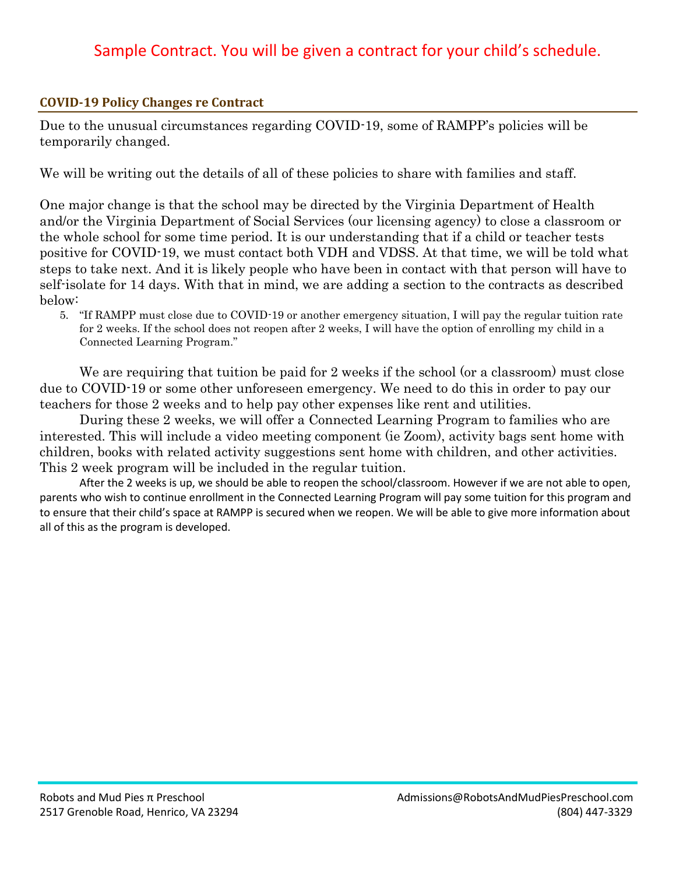## Sample Contract. You will be given a contract for your child's schedule.

## **COVID-19 Policy Changes re Contract**

Due to the unusual circumstances regarding COVID-19, some of RAMPP's policies will be temporarily changed.

We will be writing out the details of all of these policies to share with families and staff.

One major change is that the school may be directed by the Virginia Department of Health and/or the Virginia Department of Social Services (our licensing agency) to close a classroom or the whole school for some time period. It is our understanding that if a child or teacher tests positive for COVID-19, we must contact both VDH and VDSS. At that time, we will be told what steps to take next. And it is likely people who have been in contact with that person will have to self-isolate for 14 days. With that in mind, we are adding a section to the contracts as described below:

5. "If RAMPP must close due to COVID-19 or another emergency situation, I will pay the regular tuition rate for 2 weeks. If the school does not reopen after 2 weeks, I will have the option of enrolling my child in a Connected Learning Program."

We are requiring that tuition be paid for 2 weeks if the school (or a classroom) must close due to COVID-19 or some other unforeseen emergency. We need to do this in order to pay our teachers for those 2 weeks and to help pay other expenses like rent and utilities.

During these 2 weeks, we will offer a Connected Learning Program to families who are interested. This will include a video meeting component (ie Zoom), activity bags sent home with children, books with related activity suggestions sent home with children, and other activities. This 2 week program will be included in the regular tuition.

After the 2 weeks is up, we should be able to reopen the school/classroom. However if we are not able to open, parents who wish to continue enrollment in the Connected Learning Program will pay some tuition for this program and to ensure that their child's space at RAMPP is secured when we reopen. We will be able to give more information about all of this as the program is developed.